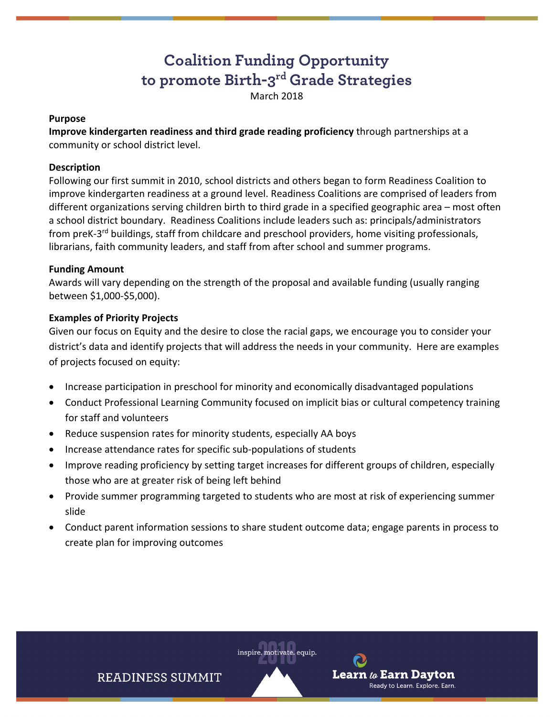# **Coalition Funding Opportunity to promote Birth-3rd Grade Strategies**

March 2018

#### **Purpose**

**Improve kindergarten readiness and third grade reading proficiency** through partnerships at a community or school district level.

#### **Description**

Following our first summit in 2010, school districts and others began to form Readiness Coalition to improve kindergarten readiness at a ground level. Readiness Coalitions are comprised of leaders from different organizations serving children birth to third grade in a specified geographic area – most often a school district boundary. Readiness Coalitions include leaders such as: principals/administrators from preK-3<sup>rd</sup> buildings, staff from childcare and preschool providers, home visiting professionals, librarians, faith community leaders, and staff from after school and summer programs.

#### **Funding Amount**

Awards will vary depending on the strength of the proposal and available funding (usually ranging between \$1,000‐\$5,000).

#### **Examples of Priority Projects**

Given our focus on Equity and the desire to close the racial gaps, we encourage you to consider your district's data and identify projects that will address the needs in your community. Here are examples of projects focused on equity:

- Increase participation in preschool for minority and economically disadvantaged populations
- Conduct Professional Learning Community focused on implicit bias or cultural competency training for staff and volunteers
- Reduce suspension rates for minority students, especially AA boys
- Increase attendance rates for specific sub‐populations of students
- Improve reading proficiency by setting target increases for different groups of children, especially those who are at greater risk of being left behind
- Provide summer programming targeted to students who are most at risk of experiencing summer slide
- Conduct parent information sessions to share student outcome data; engage parents in process to create plan for improving outcomes



Learn  $\iota$  Earn Davton

Ready to Learn. Explore. Earn.

**READINESS SUMMIT**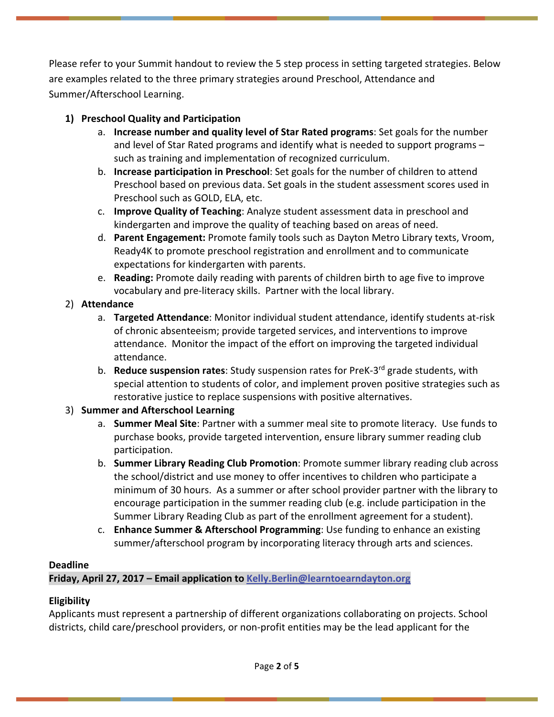Please refer to your Summit handout to review the 5 step process in setting targeted strategies. Below are examples related to the three primary strategies around Preschool, Attendance and Summer/Afterschool Learning.

## **1) Preschool Quality and Participation**

- a. **Increase number and quality level of Star Rated programs**: Set goals for the number and level of Star Rated programs and identify what is needed to support programs – such as training and implementation of recognized curriculum.
- b. **Increase participation in Preschool**: Set goals for the number of children to attend Preschool based on previous data. Set goals in the student assessment scores used in Preschool such as GOLD, ELA, etc.
- c. **Improve Quality of Teaching**: Analyze student assessment data in preschool and kindergarten and improve the quality of teaching based on areas of need.
- d. **Parent Engagement:** Promote family tools such as Dayton Metro Library texts, Vroom, Ready4K to promote preschool registration and enrollment and to communicate expectations for kindergarten with parents.
- e. **Reading:** Promote daily reading with parents of children birth to age five to improve vocabulary and pre‐literacy skills. Partner with the local library.

## 2) **Attendance**

- a. **Targeted Attendance**: Monitor individual student attendance, identify students at‐risk of chronic absenteeism; provide targeted services, and interventions to improve attendance. Monitor the impact of the effort on improving the targeted individual attendance.
- b. **Reduce suspension rates**: Study suspension rates for PreK‐3rd grade students, with special attention to students of color, and implement proven positive strategies such as restorative justice to replace suspensions with positive alternatives.

# 3) **Summer and Afterschool Learning**

- a. **Summer Meal Site**: Partner with a summer meal site to promote literacy. Use funds to purchase books, provide targeted intervention, ensure library summer reading club participation.
- b. **Summer Library Reading Club Promotion**: Promote summer library reading club across the school/district and use money to offer incentives to children who participate a minimum of 30 hours. As a summer or after school provider partner with the library to encourage participation in the summer reading club (e.g. include participation in the Summer Library Reading Club as part of the enrollment agreement for a student).
- c. **Enhance Summer & Afterschool Programming**: Use funding to enhance an existing summer/afterschool program by incorporating literacy through arts and sciences.

## **Deadline**

Friday, April 27, 2017 - Email application to Kelly.Berlin@learntoearndayton.org

# **Eligibility**

Applicants must represent a partnership of different organizations collaborating on projects. School districts, child care/preschool providers, or non‐profit entities may be the lead applicant for the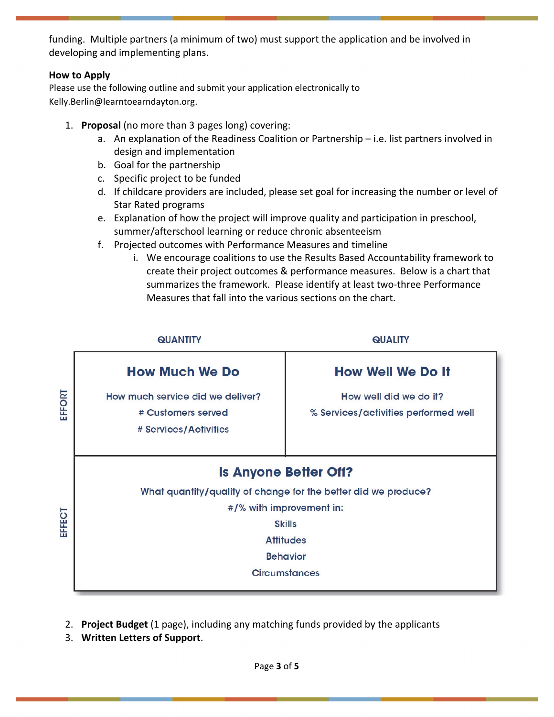funding. Multiple partners (a minimum of two) must support the application and be involved in developing and implementing plans.

#### **How to Apply**

Please use the following outline and submit your application electronically to Kelly.Berlin@learntoearndayton.org.

- 1. **Proposal** (no more than 3 pages long) covering:
	- a. An explanation of the Readiness Coalition or Partnership i.e. list partners involved in design and implementation
	- b. Goal for the partnership
	- c. Specific project to be funded
	- d. If childcare providers are included, please set goal for increasing the number or level of Star Rated programs
	- e. Explanation of how the project will improve quality and participation in preschool, summer/afterschool learning or reduce chronic absenteeism
	- f. Projected outcomes with Performance Measures and timeline
		- i. We encourage coalitions to use the Results Based Accountability framework to create their project outcomes & performance measures. Below is a chart that summarizes the framework. Please identify at least two-three Performance Measures that fall into the various sections on the chart.



- 2. **Project Budget** (1 page), including any matching funds provided by the applicants
- 3. **Written Letters of Support**.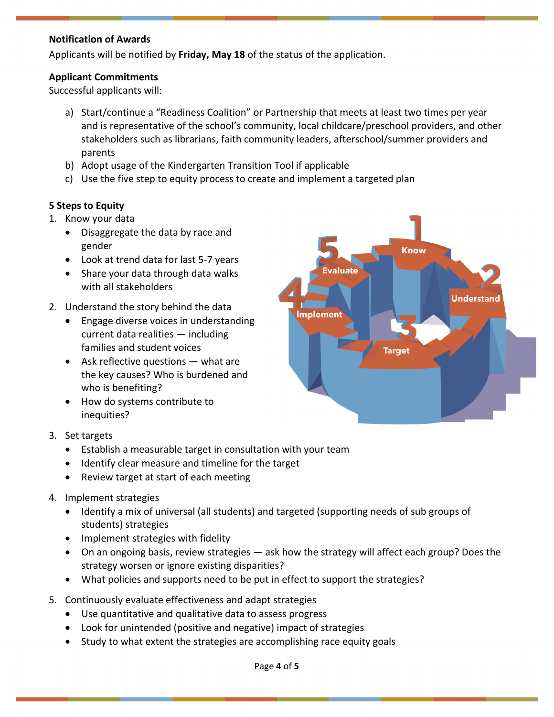## **Notification of Awards**

Applicants will be notified by **Friday, May 18** of the status of the application.

## **Applicant Commitments**

Successful applicants will:

- a) Start/continue a "Readiness Coalition" or Partnership that meets at least two times per year and is representative of the school's community, local childcare/preschool providers, and other stakeholders such as librarians, faith community leaders, afterschool/summer providers and parents
- b) Adopt usage of the Kindergarten Transition Tool if applicable
- c) Use the five step to equity process to create and implement a targeted plan

## **5 Steps to Equity**

- 1. Know your data
	- Disaggregate the data by race and gender
	- Look at trend data for last 5‐7 years
	- Share your data through data walks with all stakeholders
- 2. Understand the story behind the data
	- Engage diverse voices in understanding current data realities — including families and student voices
	- $\bullet$  Ask reflective questions  $-$  what are the key causes? Who is burdened and who is benefiting?
	- How do systems contribute to inequities?
- 3. Set targets
	- Establish a measurable target in consultation with your team
	- Identify clear measure and timeline for the target
	- Review target at start of each meeting
- 4. Implement strategies
	- Identify a mix of universal (all students) and targeted (supporting needs of sub groups of students) strategies
	- Implement strategies with fidelity
	- On an ongoing basis, review strategies ask how the strategy will affect each group? Does the strategy worsen or ignore existing disparities?
	- What policies and supports need to be put in effect to support the strategies?
- 5. Continuously evaluate effectiveness and adapt strategies
	- Use quantitative and qualitative data to assess progress
	- Look for unintended (positive and negative) impact of strategies
	- Study to what extent the strategies are accomplishing race equity goals